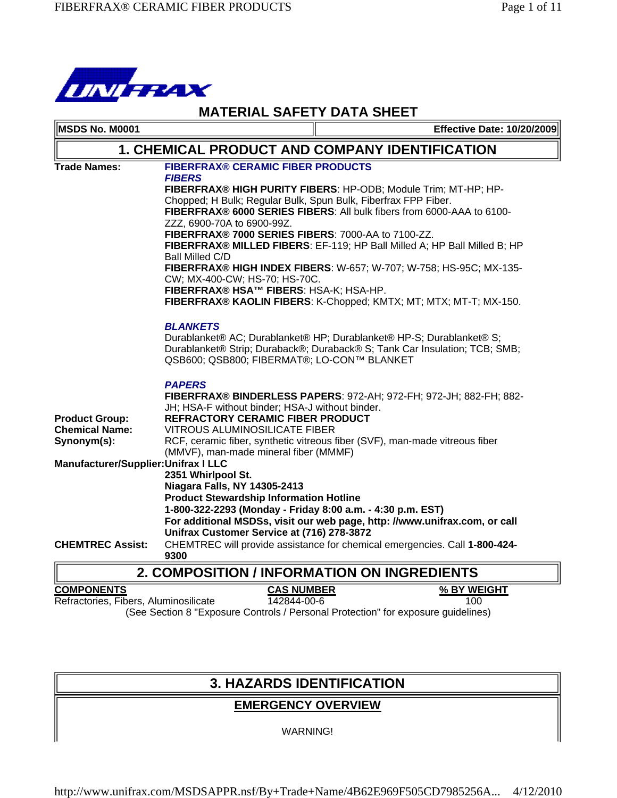

| <b>MATERIAL SAFETY DATA SHEET</b>                               |                                                                                                                                                                                                                                                                                                                                                                                                                                                           |  |                                   |
|-----------------------------------------------------------------|-----------------------------------------------------------------------------------------------------------------------------------------------------------------------------------------------------------------------------------------------------------------------------------------------------------------------------------------------------------------------------------------------------------------------------------------------------------|--|-----------------------------------|
| MSDS No. M0001                                                  |                                                                                                                                                                                                                                                                                                                                                                                                                                                           |  | <b>Effective Date: 10/20/2009</b> |
|                                                                 | <b>1. CHEMICAL PRODUCT AND COMPANY IDENTIFICATION</b>                                                                                                                                                                                                                                                                                                                                                                                                     |  |                                   |
| <b>Trade Names:</b>                                             | <b>FIBERFRAX® CERAMIC FIBER PRODUCTS</b><br><b>FIBERS</b><br>FIBERFRAX® HIGH PURITY FIBERS: HP-ODB; Module Trim; MT-HP; HP-<br>Chopped; H Bulk; Regular Bulk, Spun Bulk, Fiberfrax FPP Fiber.<br>FIBERFRAX® 6000 SERIES FIBERS: All bulk fibers from 6000-AAA to 6100-<br>ZZZ, 6900-70A to 6900-99Z.<br>FIBERFRAX® 7000 SERIES FIBERS: 7000-AA to 7100-ZZ.<br>FIBERFRAX® MILLED FIBERS: EF-119; HP Ball Milled A; HP Ball Milled B; HP<br>Ball Milled C/D |  |                                   |
|                                                                 | FIBERFRAX® HIGH INDEX FIBERS: W-657; W-707; W-758; HS-95C; MX-135-<br>CW; MX-400-CW; HS-70; HS-70C.<br>FIBERFRAX® HSA™ FIBERS: HSA-K; HSA-HP.<br>FIBERFRAX® KAOLIN FIBERS: K-Chopped; KMTX; MT; MTX; MT-T; MX-150.<br><b>BLANKETS</b><br>Durablanket® AC; Durablanket® HP; Durablanket® HP-S; Durablanket® S;<br>Durablanket® Strip; Duraback®; Duraback® S; Tank Car Insulation; TCB; SMB;                                                               |  |                                   |
| <b>Product Group:</b><br><b>Chemical Name:</b><br>Synonym(s):   | QSB600; QSB800; FIBERMAT®; LO-CON™ BLANKET<br><b>PAPERS</b><br>FIBERFRAX® BINDERLESS PAPERS: 972-AH; 972-FH; 972-JH; 882-FH; 882-<br>JH; HSA-F without binder; HSA-J without binder.<br><b>REFRACTORY CERAMIC FIBER PRODUCT</b><br><b>VITROUS ALUMINOSILICATE FIBER</b><br>RCF, ceramic fiber, synthetic vitreous fiber (SVF), man-made vitreous fiber<br>(MMVF), man-made mineral fiber (MMMF)                                                           |  |                                   |
| Manufacturer/Supplier: Unifrax I LLC<br><b>CHEMTREC Assist:</b> | 2351 Whirlpool St.<br><b>Niagara Falls, NY 14305-2413</b><br><b>Product Stewardship Information Hotline</b><br>1-800-322-2293 (Monday - Friday 8:00 a.m. - 4:30 p.m. EST)<br>For additional MSDSs, visit our web page, http: //www.unifrax.com, or call<br>Unifrax Customer Service at (716) 278-3872<br>CHEMTREC will provide assistance for chemical emergencies. Call 1-800-424-<br>9300                                                               |  |                                   |
| <b>2. COMPOSITION / INFORMATION ON INGREDIENTS</b>              |                                                                                                                                                                                                                                                                                                                                                                                                                                                           |  |                                   |
| <b>COMPONENTS</b><br>Refractories, Fibers, Aluminosilicate      | <b>CAS NUMBER</b><br>142844-00-6                                                                                                                                                                                                                                                                                                                                                                                                                          |  | % BY WEIGHT<br>100                |

(See Section 8 "Exposure Controls / Personal Protection" for exposure guidelines)

# **3. HAZARDS IDENTIFICATION**

# **EMERGENCY OVERVIEW**

WARNING!

http://www.unifrax.com/MSDSAPPR.nsf/By+Trade+Name/4B62E969F505CD7985256A... 4/12/2010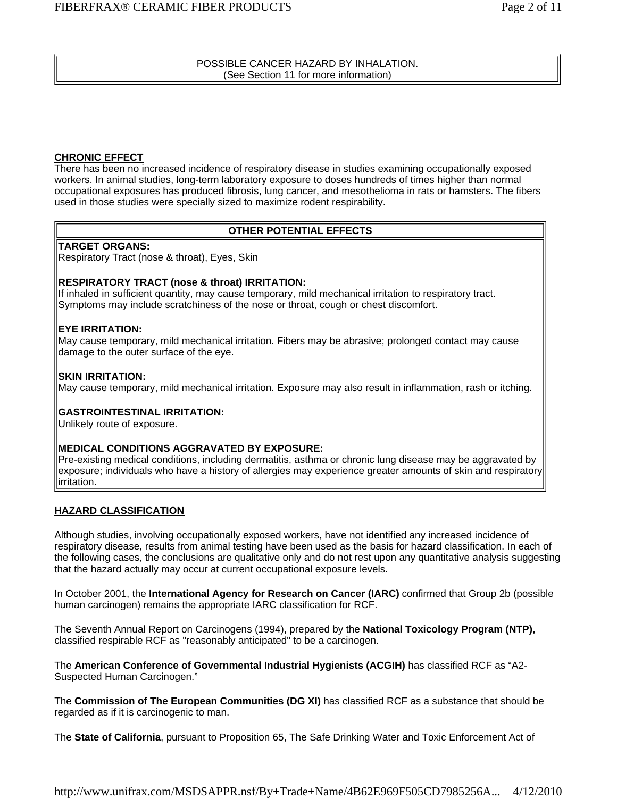POSSIBLE CANCER HAZARD BY INHALATION. (See Section 11 for more information)

#### **CHRONIC EFFECT**

There has been no increased incidence of respiratory disease in studies examining occupationally exposed workers. In animal studies, long-term laboratory exposure to doses hundreds of times higher than normal occupational exposures has produced fibrosis, lung cancer, and mesothelioma in rats or hamsters. The fibers used in those studies were specially sized to maximize rodent respirability.

#### **OTHER POTENTIAL EFFECTS**

#### **TARGET ORGANS:**

Respiratory Tract (nose & throat), Eyes, Skin

#### **RESPIRATORY TRACT (nose & throat) IRRITATION:**

If inhaled in sufficient quantity, may cause temporary, mild mechanical irritation to respiratory tract. Symptoms may include scratchiness of the nose or throat, cough or chest discomfort.

#### **EYE IRRITATION:**

May cause temporary, mild mechanical irritation. Fibers may be abrasive; prolonged contact may cause damage to the outer surface of the eye.

#### **SKIN IRRITATION:**

May cause temporary, mild mechanical irritation. Exposure may also result in inflammation, rash or itching.

#### **GASTROINTESTINAL IRRITATION:**

Unlikely route of exposure.

#### **MEDICAL CONDITIONS AGGRAVATED BY EXPOSURE:**

Pre-existing medical conditions, including dermatitis, asthma or chronic lung disease may be aggravated by exposure; individuals who have a history of allergies may experience greater amounts of skin and respiratory irritation.

#### **HAZARD CLASSIFICATION**

Although studies, involving occupationally exposed workers, have not identified any increased incidence of respiratory disease, results from animal testing have been used as the basis for hazard classification. In each of the following cases, the conclusions are qualitative only and do not rest upon any quantitative analysis suggesting that the hazard actually may occur at current occupational exposure levels.

In October 2001, the **International Agency for Research on Cancer (IARC)** confirmed that Group 2b (possible human carcinogen) remains the appropriate IARC classification for RCF.

The Seventh Annual Report on Carcinogens (1994), prepared by the **National Toxicology Program (NTP),** classified respirable RCF as "reasonably anticipated" to be a carcinogen.

The **American Conference of Governmental Industrial Hygienists (ACGIH)** has classified RCF as "A2- Suspected Human Carcinogen."

The **Commission of The European Communities (DG XI)** has classified RCF as a substance that should be regarded as if it is carcinogenic to man.

The **State of California**, pursuant to Proposition 65, The Safe Drinking Water and Toxic Enforcement Act of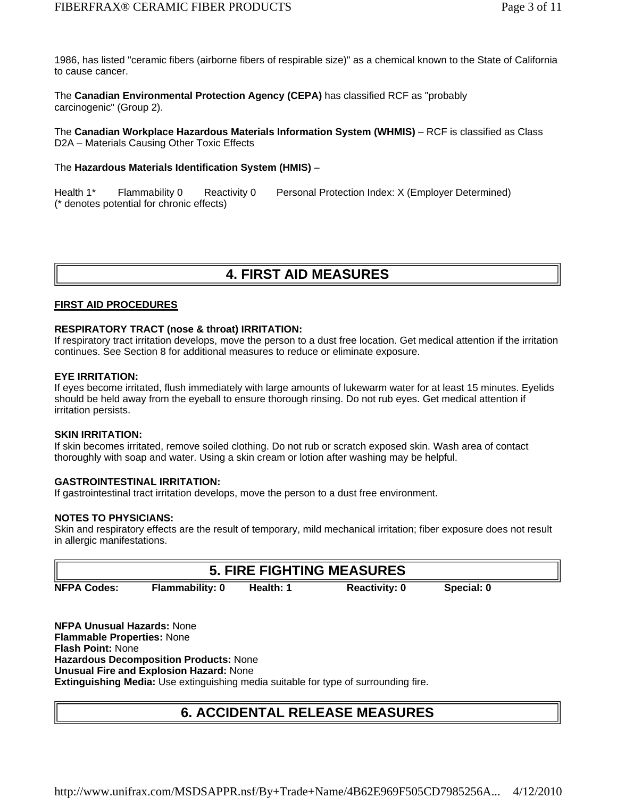1986, has listed "ceramic fibers (airborne fibers of respirable size)" as a chemical known to the State of California to cause cancer.

The **Canadian Environmental Protection Agency (CEPA)** has classified RCF as "probably carcinogenic" (Group 2).

The **Canadian Workplace Hazardous Materials Information System (WHMIS)** – RCF is classified as Class D2A – Materials Causing Other Toxic Effects

#### The **Hazardous Materials Identification System (HMIS)** –

(\* denotes potential for chronic effects) Health 1<sup>\*</sup> Flammability 0 Reactivity 0 Personal Protection Index: X (Employer Determined)

### **4. FIRST AID MEASURES**

#### **FIRST AID PROCEDURES**

#### **RESPIRATORY TRACT (nose & throat) IRRITATION:**

If respiratory tract irritation develops, move the person to a dust free location. Get medical attention if the irritation continues. See Section 8 for additional measures to reduce or eliminate exposure.

#### **EYE IRRITATION:**

If eyes become irritated, flush immediately with large amounts of lukewarm water for at least 15 minutes. Eyelids should be held away from the eyeball to ensure thorough rinsing. Do not rub eyes. Get medical attention if irritation persists.

#### **SKIN IRRITATION:**

If skin becomes irritated, remove soiled clothing. Do not rub or scratch exposed skin. Wash area of contact thoroughly with soap and water. Using a skin cream or lotion after washing may be helpful.

#### **GASTROINTESTINAL IRRITATION:**

If gastrointestinal tract irritation develops, move the person to a dust free environment.

#### **NOTES TO PHYSICIANS:**

Skin and respiratory effects are the result of temporary, mild mechanical irritation; fiber exposure does not result in allergic manifestations.

|                    |                        |           | <b>5. FIRE FIGHTING MEASURES</b> |            |  |
|--------------------|------------------------|-----------|----------------------------------|------------|--|
| <b>NFPA Codes:</b> | <b>Flammability: 0</b> | Health: 1 | <b>Reactivity: 0</b>             | Special: 0 |  |

**NFPA Unusual Hazards:** None **Flammable Properties:** None **Flash Point:** None **Hazardous Decomposition Products:** None **Unusual Fire and Explosion Hazard:** None **Extinguishing Media:** Use extinguishing media suitable for type of surrounding fire.

# **6. ACCIDENTAL RELEASE MEASURES**

http://www.unifrax.com/MSDSAPPR.nsf/By+Trade+Name/4B62E969F505CD7985256A... 4/12/2010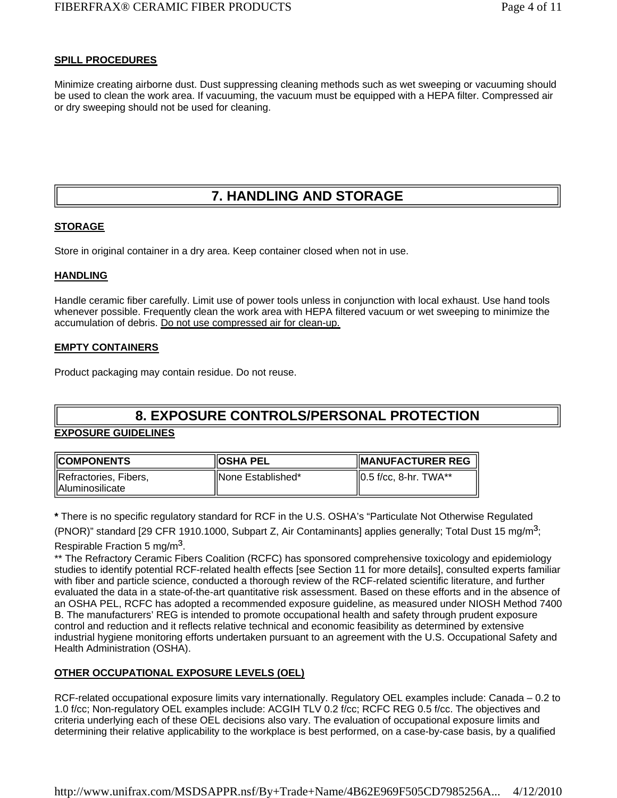#### **SPILL PROCEDURES**

Minimize creating airborne dust. Dust suppressing cleaning methods such as wet sweeping or vacuuming should be used to clean the work area. If vacuuming, the vacuum must be equipped with a HEPA filter. Compressed air or dry sweeping should not be used for cleaning.

# **7. HANDLING AND STORAGE**

#### **STORAGE**

Store in original container in a dry area. Keep container closed when not in use.

#### **HANDLING**

Handle ceramic fiber carefully. Limit use of power tools unless in conjunction with local exhaust. Use hand tools whenever possible. Frequently clean the work area with HEPA filtered vacuum or wet sweeping to minimize the accumulation of debris. Do not use compressed air for clean-up.

#### **EMPTY CONTAINERS**

Product packaging may contain residue. Do not reuse.

# **8. EXPOSURE CONTROLS/PERSONAL PROTECTION**

#### **EXPOSURE GUIDELINES**

| <b>COMPONENTS</b>        | <b>IOSHA PEL</b>    | <b>IMANUFACTURER REG</b>  |  |
|--------------------------|---------------------|---------------------------|--|
| Refractories, Fibers,    | IlNone Established* | $  0.5$ f/cc, 8-hr. TWA** |  |
| <b>IIAluminosilicate</b> |                     |                           |  |

**\*** There is no specific regulatory standard for RCF in the U.S. OSHA's "Particulate Not Otherwise Regulated

(PNOR)" standard [29 CFR 1910.1000, Subpart Z, Air Contaminants] applies generally; Total Dust 15 mg/m<sup>3</sup>;

#### Respirable Fraction 5 mg/m<sup>3</sup>.

\*\* The Refractory Ceramic Fibers Coalition (RCFC) has sponsored comprehensive toxicology and epidemiology studies to identify potential RCF-related health effects [see Section 11 for more details], consulted experts familiar with fiber and particle science, conducted a thorough review of the RCF-related scientific literature, and further evaluated the data in a state-of-the-art quantitative risk assessment. Based on these efforts and in the absence of an OSHA PEL, RCFC has adopted a recommended exposure guideline, as measured under NIOSH Method 7400 B. The manufacturers' REG is intended to promote occupational health and safety through prudent exposure control and reduction and it reflects relative technical and economic feasibility as determined by extensive industrial hygiene monitoring efforts undertaken pursuant to an agreement with the U.S. Occupational Safety and Health Administration (OSHA).

#### **OTHER OCCUPATIONAL EXPOSURE LEVELS (OEL)**

RCF-related occupational exposure limits vary internationally. Regulatory OEL examples include: Canada – 0.2 to 1.0 f/cc; Non-regulatory OEL examples include: ACGIH TLV 0.2 f/cc; RCFC REG 0.5 f/cc. The objectives and criteria underlying each of these OEL decisions also vary. The evaluation of occupational exposure limits and determining their relative applicability to the workplace is best performed, on a case-by-case basis, by a qualified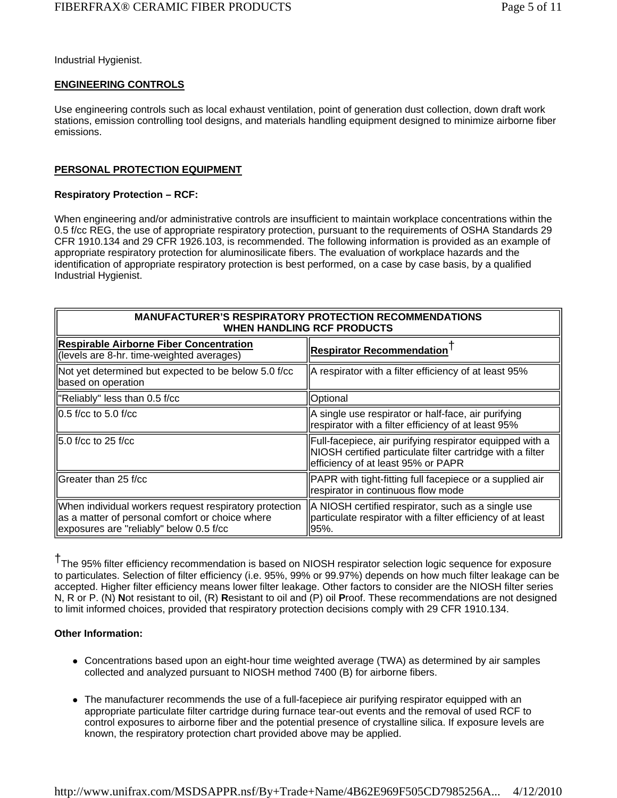Industrial Hygienist.

#### **ENGINEERING CONTROLS**

Use engineering controls such as local exhaust ventilation, point of generation dust collection, down draft work stations, emission controlling tool designs, and materials handling equipment designed to minimize airborne fiber emissions.

#### **PERSONAL PROTECTION EQUIPMENT**

#### **Respiratory Protection – RCF:**

When engineering and/or administrative controls are insufficient to maintain workplace concentrations within the 0.5 f/cc REG, the use of appropriate respiratory protection, pursuant to the requirements of OSHA Standards 29 CFR 1910.134 and 29 CFR 1926.103, is recommended. The following information is provided as an example of appropriate respiratory protection for aluminosilicate fibers. The evaluation of workplace hazards and the identification of appropriate respiratory protection is best performed, on a case by case basis, by a qualified Industrial Hygienist.

| <b>MANUFACTURER'S RESPIRATORY PROTECTION RECOMMENDATIONS</b><br>WHEN HANDLING RCF PRODUCTS                                                           |                                                                                                                                                              |  |
|------------------------------------------------------------------------------------------------------------------------------------------------------|--------------------------------------------------------------------------------------------------------------------------------------------------------------|--|
| <b>Respirable Airborne Fiber Concentration</b><br>(levels are 8-hr. time-weighted averages)                                                          | <b>Respirator Recommendation I</b>                                                                                                                           |  |
| Not yet determined but expected to be below 5.0 f/cc<br>based on operation                                                                           | A respirator with a filter efficiency of at least 95%                                                                                                        |  |
| "Reliably" less than 0.5 f/cc                                                                                                                        | Optional                                                                                                                                                     |  |
| $\parallel$ 0.5 f/cc to 5.0 f/cc                                                                                                                     | A single use respirator or half-face, air purifying<br>respirator with a filter efficiency of at least 95%                                                   |  |
| 15.0 f/cc to 25 f/cc                                                                                                                                 | Full-facepiece, air purifying respirator equipped with a<br>NIOSH certified particulate filter cartridge with a filter<br>efficiency of at least 95% or PAPR |  |
| lGreater than 25 f/cc                                                                                                                                | PAPR with tight-fitting full facepiece or a supplied air<br>respirator in continuous flow mode                                                               |  |
| When individual workers request respiratory protection<br>as a matter of personal comfort or choice where<br>exposures are "reliably" below 0.5 f/cc | A NIOSH certified respirator, such as a single use<br>particulate respirator with a filter efficiency of at least<br>95%.                                    |  |

†The 95% filter efficiency recommendation is based on NIOSH respirator selection logic sequence for exposure to particulates. Selection of filter efficiency (i.e. 95%, 99% or 99.97%) depends on how much filter leakage can be accepted. Higher filter efficiency means lower filter leakage. Other factors to consider are the NIOSH filter series N, R or P. (N) **N**ot resistant to oil, (R) **R**esistant to oil and (P) oil **P**roof. These recommendations are not designed to limit informed choices, provided that respiratory protection decisions comply with 29 CFR 1910.134.

#### **Other Information:**

- Concentrations based upon an eight-hour time weighted average (TWA) as determined by air samples collected and analyzed pursuant to NIOSH method 7400 (B) for airborne fibers.
- The manufacturer recommends the use of a full-facepiece air purifying respirator equipped with an appropriate particulate filter cartridge during furnace tear-out events and the removal of used RCF to control exposures to airborne fiber and the potential presence of crystalline silica. If exposure levels are known, the respiratory protection chart provided above may be applied.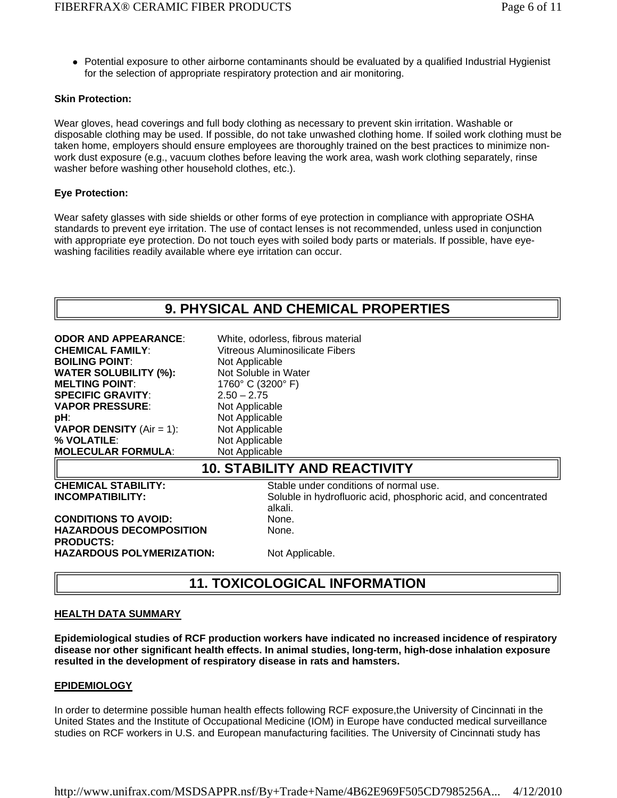Potential exposure to other airborne contaminants should be evaluated by a qualified Industrial Hygienist for the selection of appropriate respiratory protection and air monitoring.

#### **Skin Protection:**

Wear gloves, head coverings and full body clothing as necessary to prevent skin irritation. Washable or disposable clothing may be used. If possible, do not take unwashed clothing home. If soiled work clothing must be taken home, employers should ensure employees are thoroughly trained on the best practices to minimize nonwork dust exposure (e.g., vacuum clothes before leaving the work area, wash work clothing separately, rinse washer before washing other household clothes, etc.).

#### **Eye Protection:**

Wear safety glasses with side shields or other forms of eye protection in compliance with appropriate OSHA standards to prevent eye irritation. The use of contact lenses is not recommended, unless used in conjunction with appropriate eye protection. Do not touch eyes with soiled body parts or materials. If possible, have eyewashing facilities readily available where eye irritation can occur.

| <b>ODOR AND APPEARANCE:</b><br><b>CHEMICAL FAMILY:</b><br><b>BOILING POINT:</b><br><b>WATER SOLUBILITY (%):</b><br><b>MELTING POINT:</b><br><b>SPECIFIC GRAVITY:</b><br><b>VAPOR PRESSURE:</b><br>pH:<br><b>VAPOR DENSITY</b> (Air = 1):<br>% VOLATILE:<br>MOLECULAR FORMULA: | White, odorless, fibrous material<br>Vitreous Aluminosilicate Fibers<br>Not Applicable<br>Not Soluble in Water<br>1760° C (3200° F)<br>$2.50 - 2.75$<br>Not Applicable<br>Not Applicable<br>Not Applicable<br>Not Applicable<br>Not Applicable |  |  |
|-------------------------------------------------------------------------------------------------------------------------------------------------------------------------------------------------------------------------------------------------------------------------------|------------------------------------------------------------------------------------------------------------------------------------------------------------------------------------------------------------------------------------------------|--|--|
| <b>10. STABILITY AND REACTIVITY</b>                                                                                                                                                                                                                                           |                                                                                                                                                                                                                                                |  |  |
| <b>CHEMICAL STABILITY:</b><br>INCOMPATIBILITY:                                                                                                                                                                                                                                | Stable under conditions of normal use.<br>Soluble in hydrofluoric acid, phosphoric acid, and concentrated<br>alkali.                                                                                                                           |  |  |
| <b>CONDITIONS TO AVOID:</b><br><b>HAZARDOUS DECOMPOSITION</b><br><b>PRODUCTS:</b><br>HAZARDOUS POLYMERIZATION:                                                                                                                                                                | None.<br>None.<br>Not Applicable.                                                                                                                                                                                                              |  |  |
|                                                                                                                                                                                                                                                                               |                                                                                                                                                                                                                                                |  |  |

# **HEALTH DATA SUMMARY**

**Epidemiological studies of RCF production workers have indicated no increased incidence of respiratory disease nor other significant health effects. In animal studies, long-term, high-dose inhalation exposure resulted in the development of respiratory disease in rats and hamsters.**

**11. TOXICOLOGICAL INFORMATION**

#### **EPIDEMIOLOGY**

In order to determine possible human health effects following RCF exposure,the University of Cincinnati in the United States and the Institute of Occupational Medicine (IOM) in Europe have conducted medical surveillance studies on RCF workers in U.S. and European manufacturing facilities. The University of Cincinnati study has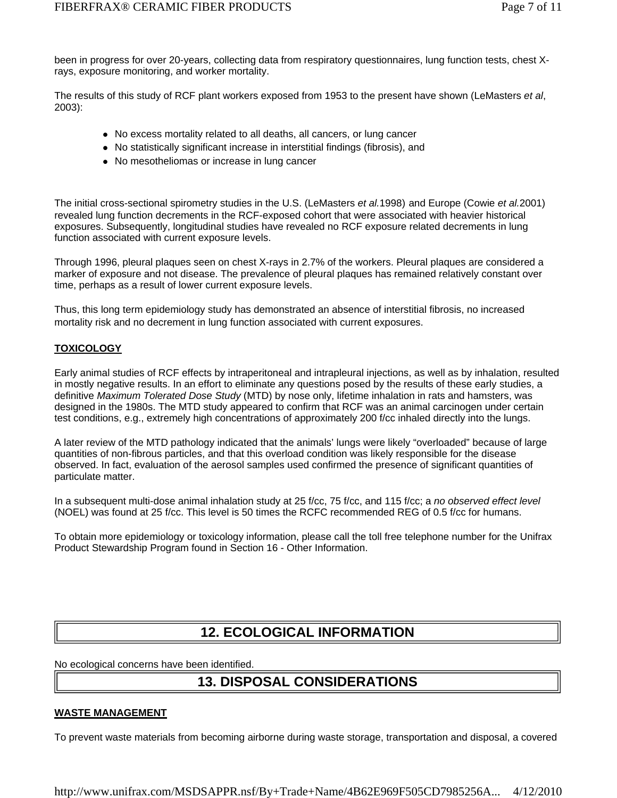been in progress for over 20-years, collecting data from respiratory questionnaires, lung function tests, chest Xrays, exposure monitoring, and worker mortality.

The results of this study of RCF plant workers exposed from 1953 to the present have shown (LeMasters *et al*, 2003):

- No excess mortality related to all deaths, all cancers, or lung cancer
- No statistically significant increase in interstitial findings (fibrosis), and
- No mesotheliomas or increase in lung cancer

The initial cross-sectional spirometry studies in the U.S. (LeMasters *et al.*1998) and Europe (Cowie *et al.*2001) revealed lung function decrements in the RCF-exposed cohort that were associated with heavier historical exposures. Subsequently, longitudinal studies have revealed no RCF exposure related decrements in lung function associated with current exposure levels.

Through 1996, pleural plaques seen on chest X-rays in 2.7% of the workers. Pleural plaques are considered a marker of exposure and not disease. The prevalence of pleural plaques has remained relatively constant over time, perhaps as a result of lower current exposure levels.

Thus, this long term epidemiology study has demonstrated an absence of interstitial fibrosis, no increased mortality risk and no decrement in lung function associated with current exposures.

#### **TOXICOLOGY**

Early animal studies of RCF effects by intraperitoneal and intrapleural injections, as well as by inhalation, resulted in mostly negative results. In an effort to eliminate any questions posed by the results of these early studies, a definitive *Maximum Tolerated Dose Study* (MTD) by nose only, lifetime inhalation in rats and hamsters, was designed in the 1980s. The MTD study appeared to confirm that RCF was an animal carcinogen under certain test conditions, e.g., extremely high concentrations of approximately 200 f/cc inhaled directly into the lungs.

A later review of the MTD pathology indicated that the animals' lungs were likely "overloaded" because of large quantities of non-fibrous particles, and that this overload condition was likely responsible for the disease observed. In fact, evaluation of the aerosol samples used confirmed the presence of significant quantities of particulate matter.

In a subsequent multi-dose animal inhalation study at 25 f/cc, 75 f/cc, and 115 f/cc; a *no observed effect level*  (NOEL) was found at 25 f/cc. This level is 50 times the RCFC recommended REG of 0.5 f/cc for humans.

To obtain more epidemiology or toxicology information, please call the toll free telephone number for the Unifrax Product Stewardship Program found in Section 16 - Other Information.

# **12. ECOLOGICAL INFORMATION**

No ecological concerns have been identified.

# **13. DISPOSAL CONSIDERATIONS**

#### **WASTE MANAGEMENT**

To prevent waste materials from becoming airborne during waste storage, transportation and disposal, a covered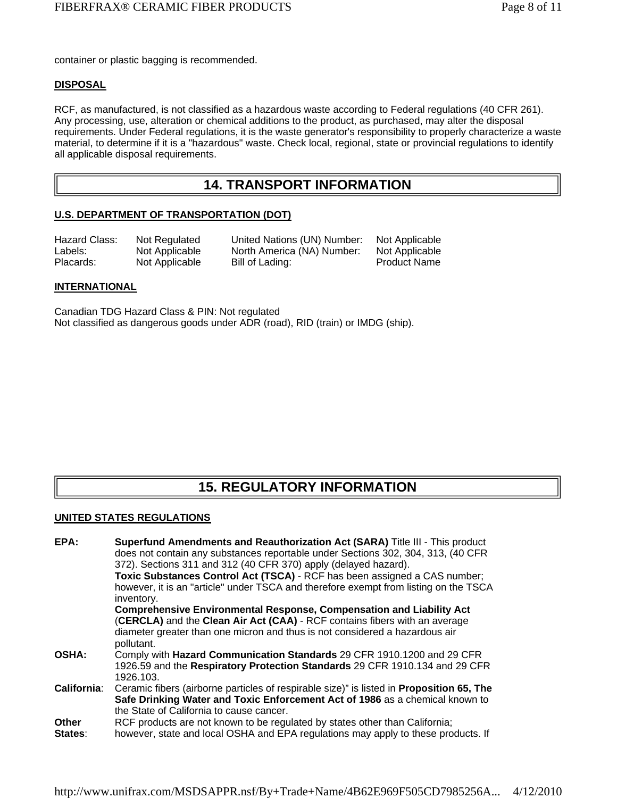container or plastic bagging is recommended.

#### **DISPOSAL**

RCF, as manufactured, is not classified as a hazardous waste according to Federal regulations (40 CFR 261). Any processing, use, alteration or chemical additions to the product, as purchased, may alter the disposal requirements. Under Federal regulations, it is the waste generator's responsibility to properly characterize a waste material, to determine if it is a "hazardous" waste. Check local, regional, state or provincial regulations to identify all applicable disposal requirements.

### **14. TRANSPORT INFORMATION**

#### **U.S. DEPARTMENT OF TRANSPORTATION (DOT)**

| Hazard Class: | Not Regulated  | United Nations (UN) Number: | Not Applicable      |
|---------------|----------------|-----------------------------|---------------------|
| Labels:       | Not Applicable | North America (NA) Number:  | Not Applicable      |
| Placards:     | Not Applicable | Bill of Lading:             | <b>Product Name</b> |

#### **INTERNATIONAL**

Canadian TDG Hazard Class & PIN: Not regulated Not classified as dangerous goods under ADR (road), RID (train) or IMDG (ship).

# **15. REGULATORY INFORMATION**

#### **UNITED STATES REGULATIONS**

| EPA:               | Superfund Amendments and Reauthorization Act (SARA) Title III - This product                    |
|--------------------|-------------------------------------------------------------------------------------------------|
|                    | does not contain any substances reportable under Sections 302, 304, 313, (40 CFR                |
|                    | 372). Sections 311 and 312 (40 CFR 370) apply (delayed hazard).                                 |
|                    | Toxic Substances Control Act (TSCA) - RCF has been assigned a CAS number;                       |
|                    | however, it is an "article" under TSCA and therefore exempt from listing on the TSCA            |
|                    | inventory.                                                                                      |
|                    | <b>Comprehensive Environmental Response, Compensation and Liability Act</b>                     |
|                    | (CERCLA) and the Clean Air Act (CAA) - RCF contains fibers with an average                      |
|                    | diameter greater than one micron and thus is not considered a hazardous air                     |
|                    | pollutant.                                                                                      |
| <b>OSHA:</b>       | Comply with Hazard Communication Standards 29 CFR 1910.1200 and 29 CFR                          |
|                    | 1926.59 and the Respiratory Protection Standards 29 CFR 1910.134 and 29 CFR                     |
|                    | 1926.103.                                                                                       |
| <b>California:</b> | Ceramic fibers (airborne particles of respirable size)" is listed in <b>Proposition 65, The</b> |
|                    | Safe Drinking Water and Toxic Enforcement Act of 1986 as a chemical known to                    |
|                    | the State of California to cause cancer.                                                        |
| Other              | RCF products are not known to be regulated by states other than California;                     |
| States:            | however, state and local OSHA and EPA regulations may apply to these products. If               |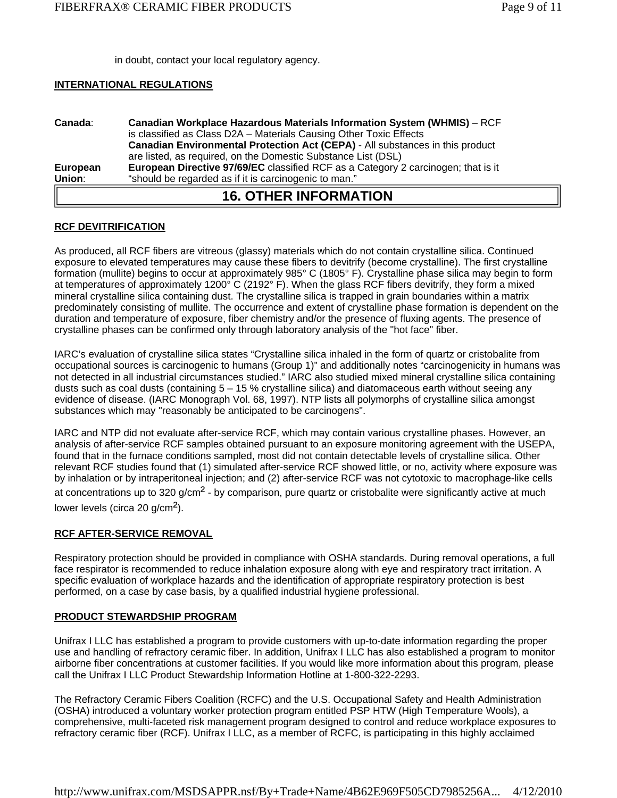in doubt, contact your local regulatory agency.

#### **INTERNATIONAL REGULATIONS**

| Canada:  | <b>Canadian Workplace Hazardous Materials Information System (WHMIS)</b> – RCF       |
|----------|--------------------------------------------------------------------------------------|
|          | is classified as Class D2A - Materials Causing Other Toxic Effects                   |
|          | <b>Canadian Environmental Protection Act (CEPA)</b> - All substances in this product |
|          | are listed, as required, on the Domestic Substance List (DSL)                        |
| European | European Directive 97/69/EC classified RCF as a Category 2 carcinogen; that is it    |
| Union:   | "should be regarded as if it is carcinogenic to man."                                |
|          | <b>16. OTHER INFORMATION</b>                                                         |

#### **RCF DEVITRIFICATION**

As produced, all RCF fibers are vitreous (glassy) materials which do not contain crystalline silica. Continued exposure to elevated temperatures may cause these fibers to devitrify (become crystalline). The first crystalline formation (mullite) begins to occur at approximately 985° C (1805° F). Crystalline phase silica may begin to form at temperatures of approximately 1200° C (2192° F). When the glass RCF fibers devitrify, they form a mixed mineral crystalline silica containing dust. The crystalline silica is trapped in grain boundaries within a matrix predominately consisting of mullite. The occurrence and extent of crystalline phase formation is dependent on the duration and temperature of exposure, fiber chemistry and/or the presence of fluxing agents. The presence of crystalline phases can be confirmed only through laboratory analysis of the "hot face" fiber.

IARC's evaluation of crystalline silica states "Crystalline silica inhaled in the form of quartz or cristobalite from occupational sources is carcinogenic to humans (Group 1)" and additionally notes "carcinogenicity in humans was not detected in all industrial circumstances studied." IARC also studied mixed mineral crystalline silica containing dusts such as coal dusts (containing 5 – 15 % crystalline silica) and diatomaceous earth without seeing any evidence of disease. (IARC Monograph Vol. 68, 1997). NTP lists all polymorphs of crystalline silica amongst substances which may "reasonably be anticipated to be carcinogens".

IARC and NTP did not evaluate after-service RCF, which may contain various crystalline phases. However, an analysis of after-service RCF samples obtained pursuant to an exposure monitoring agreement with the USEPA, found that in the furnace conditions sampled, most did not contain detectable levels of crystalline silica. Other relevant RCF studies found that (1) simulated after-service RCF showed little, or no, activity where exposure was by inhalation or by intraperitoneal injection; and (2) after-service RCF was not cytotoxic to macrophage-like cells at concentrations up to 320 g/cm<sup>2</sup> - by comparison, pure quartz or cristobalite were significantly active at much

lower levels (circa 20 g/cm<sup>2</sup>).

#### **RCF AFTER-SERVICE REMOVAL**

Respiratory protection should be provided in compliance with OSHA standards. During removal operations, a full face respirator is recommended to reduce inhalation exposure along with eye and respiratory tract irritation. A specific evaluation of workplace hazards and the identification of appropriate respiratory protection is best performed, on a case by case basis, by a qualified industrial hygiene professional.

#### **PRODUCT STEWARDSHIP PROGRAM**

Unifrax I LLC has established a program to provide customers with up-to-date information regarding the proper use and handling of refractory ceramic fiber. In addition, Unifrax I LLC has also established a program to monitor airborne fiber concentrations at customer facilities. If you would like more information about this program, please call the Unifrax I LLC Product Stewardship Information Hotline at 1-800-322-2293.

The Refractory Ceramic Fibers Coalition (RCFC) and the U.S. Occupational Safety and Health Administration (OSHA) introduced a voluntary worker protection program entitled PSP HTW (High Temperature Wools), a comprehensive, multi-faceted risk management program designed to control and reduce workplace exposures to refractory ceramic fiber (RCF). Unifrax I LLC, as a member of RCFC, is participating in this highly acclaimed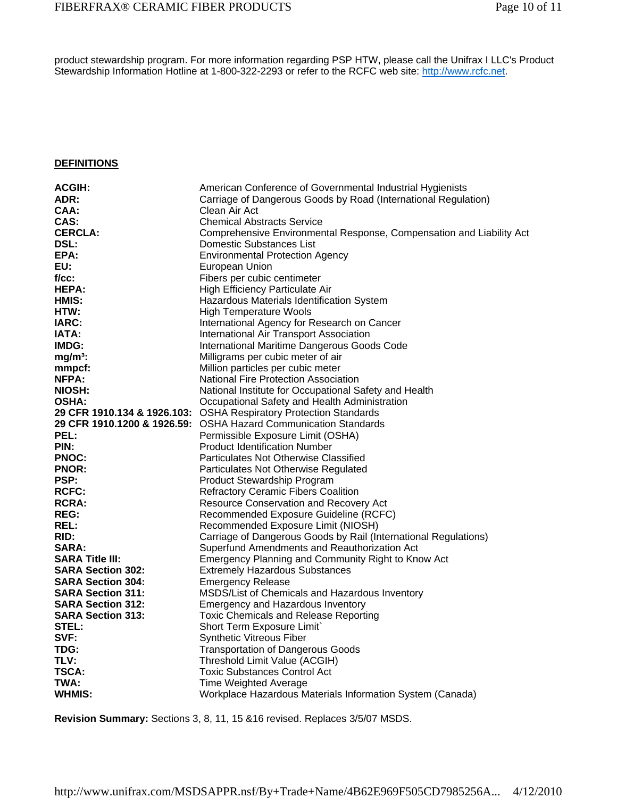product stewardship program. For more information regarding PSP HTW, please call the Unifrax I LLC's Product Stewardship Information Hotline at 1-800-322-2293 or refer to the RCFC web site: http://www.rcfc.net.

#### **DEFINITIONS**

| ADR:<br>Carriage of Dangerous Goods by Road (International Regulation)<br>CAA:<br>Clean Air Act<br>CAS:<br><b>Chemical Abstracts Service</b><br><b>CERCLA:</b><br>Comprehensive Environmental Response, Compensation and Liability Act<br><b>DSL:</b><br>Domestic Substances List<br>EPA:<br><b>Environmental Protection Agency</b><br>EU:<br>European Union<br>$f / cc$ :<br>Fibers per cubic centimeter<br>HEPA:<br>High Efficiency Particulate Air<br>HMIS:<br>Hazardous Materials Identification System<br>HTW:<br><b>High Temperature Wools</b><br>IARC:<br>International Agency for Research on Cancer<br><b>IATA:</b><br>International Air Transport Association<br>IMDG:<br>International Maritime Dangerous Goods Code<br>$mg/m3$ :<br>Milligrams per cubic meter of air<br>mmpcf:<br>Million particles per cubic meter<br>NFPA:<br><b>National Fire Protection Association</b><br>NIOSH:<br>National Institute for Occupational Safety and Health<br><b>OSHA:</b><br>Occupational Safety and Health Administration<br>29 CFR 1910.134 & 1926.103: OSHA Respiratory Protection Standards<br>29 CFR 1910.1200 & 1926.59: OSHA Hazard Communication Standards<br>PEL:<br>Permissible Exposure Limit (OSHA)<br><b>Product Identification Number</b><br>PIN:<br><b>PNOC:</b><br>Particulates Not Otherwise Classified<br><b>PNOR:</b><br>Particulates Not Otherwise Regulated<br><b>PSP:</b><br>Product Stewardship Program<br><b>RCFC:</b><br><b>Refractory Ceramic Fibers Coalition</b><br><b>RCRA:</b><br><b>Resource Conservation and Recovery Act</b><br><b>REG:</b><br>Recommended Exposure Guideline (RCFC)<br><b>REL:</b><br>Recommended Exposure Limit (NIOSH)<br>Carriage of Dangerous Goods by Rail (International Regulations)<br>RID:<br>Superfund Amendments and Reauthorization Act<br><b>SARA:</b><br><b>SARA Title III:</b><br><b>Emergency Planning and Community Right to Know Act</b><br><b>SARA Section 302:</b><br><b>Extremely Hazardous Substances</b><br><b>SARA Section 304:</b><br><b>Emergency Release</b><br>MSDS/List of Chemicals and Hazardous Inventory<br><b>SARA Section 311:</b><br><b>SARA Section 312:</b><br><b>Emergency and Hazardous Inventory</b><br><b>SARA Section 313:</b><br><b>Toxic Chemicals and Release Reporting</b><br>STEL:<br>Short Term Exposure Limit`<br>SVF:<br><b>Synthetic Vitreous Fiber</b><br>TDG:<br><b>Transportation of Dangerous Goods</b><br>TLV:<br>Threshold Limit Value (ACGIH)<br><b>TSCA:</b><br><b>Toxic Substances Control Act</b><br>TWA:<br><b>Time Weighted Average</b><br>WHMIS: | <b>ACGIH:</b> | American Conference of Governmental Industrial Hygienists |
|-----------------------------------------------------------------------------------------------------------------------------------------------------------------------------------------------------------------------------------------------------------------------------------------------------------------------------------------------------------------------------------------------------------------------------------------------------------------------------------------------------------------------------------------------------------------------------------------------------------------------------------------------------------------------------------------------------------------------------------------------------------------------------------------------------------------------------------------------------------------------------------------------------------------------------------------------------------------------------------------------------------------------------------------------------------------------------------------------------------------------------------------------------------------------------------------------------------------------------------------------------------------------------------------------------------------------------------------------------------------------------------------------------------------------------------------------------------------------------------------------------------------------------------------------------------------------------------------------------------------------------------------------------------------------------------------------------------------------------------------------------------------------------------------------------------------------------------------------------------------------------------------------------------------------------------------------------------------------------------------------------------------------------------------------------------------------------------------------------------------------------------------------------------------------------------------------------------------------------------------------------------------------------------------------------------------------------------------------------------------------------------------------------------------------------------------------------------------------------------------------------------------------------------------------------------------------|---------------|-----------------------------------------------------------|
|                                                                                                                                                                                                                                                                                                                                                                                                                                                                                                                                                                                                                                                                                                                                                                                                                                                                                                                                                                                                                                                                                                                                                                                                                                                                                                                                                                                                                                                                                                                                                                                                                                                                                                                                                                                                                                                                                                                                                                                                                                                                                                                                                                                                                                                                                                                                                                                                                                                                                                                                                                       |               |                                                           |
|                                                                                                                                                                                                                                                                                                                                                                                                                                                                                                                                                                                                                                                                                                                                                                                                                                                                                                                                                                                                                                                                                                                                                                                                                                                                                                                                                                                                                                                                                                                                                                                                                                                                                                                                                                                                                                                                                                                                                                                                                                                                                                                                                                                                                                                                                                                                                                                                                                                                                                                                                                       |               |                                                           |
|                                                                                                                                                                                                                                                                                                                                                                                                                                                                                                                                                                                                                                                                                                                                                                                                                                                                                                                                                                                                                                                                                                                                                                                                                                                                                                                                                                                                                                                                                                                                                                                                                                                                                                                                                                                                                                                                                                                                                                                                                                                                                                                                                                                                                                                                                                                                                                                                                                                                                                                                                                       |               |                                                           |
|                                                                                                                                                                                                                                                                                                                                                                                                                                                                                                                                                                                                                                                                                                                                                                                                                                                                                                                                                                                                                                                                                                                                                                                                                                                                                                                                                                                                                                                                                                                                                                                                                                                                                                                                                                                                                                                                                                                                                                                                                                                                                                                                                                                                                                                                                                                                                                                                                                                                                                                                                                       |               |                                                           |
|                                                                                                                                                                                                                                                                                                                                                                                                                                                                                                                                                                                                                                                                                                                                                                                                                                                                                                                                                                                                                                                                                                                                                                                                                                                                                                                                                                                                                                                                                                                                                                                                                                                                                                                                                                                                                                                                                                                                                                                                                                                                                                                                                                                                                                                                                                                                                                                                                                                                                                                                                                       |               |                                                           |
|                                                                                                                                                                                                                                                                                                                                                                                                                                                                                                                                                                                                                                                                                                                                                                                                                                                                                                                                                                                                                                                                                                                                                                                                                                                                                                                                                                                                                                                                                                                                                                                                                                                                                                                                                                                                                                                                                                                                                                                                                                                                                                                                                                                                                                                                                                                                                                                                                                                                                                                                                                       |               |                                                           |
|                                                                                                                                                                                                                                                                                                                                                                                                                                                                                                                                                                                                                                                                                                                                                                                                                                                                                                                                                                                                                                                                                                                                                                                                                                                                                                                                                                                                                                                                                                                                                                                                                                                                                                                                                                                                                                                                                                                                                                                                                                                                                                                                                                                                                                                                                                                                                                                                                                                                                                                                                                       |               |                                                           |
|                                                                                                                                                                                                                                                                                                                                                                                                                                                                                                                                                                                                                                                                                                                                                                                                                                                                                                                                                                                                                                                                                                                                                                                                                                                                                                                                                                                                                                                                                                                                                                                                                                                                                                                                                                                                                                                                                                                                                                                                                                                                                                                                                                                                                                                                                                                                                                                                                                                                                                                                                                       |               |                                                           |
|                                                                                                                                                                                                                                                                                                                                                                                                                                                                                                                                                                                                                                                                                                                                                                                                                                                                                                                                                                                                                                                                                                                                                                                                                                                                                                                                                                                                                                                                                                                                                                                                                                                                                                                                                                                                                                                                                                                                                                                                                                                                                                                                                                                                                                                                                                                                                                                                                                                                                                                                                                       |               |                                                           |
|                                                                                                                                                                                                                                                                                                                                                                                                                                                                                                                                                                                                                                                                                                                                                                                                                                                                                                                                                                                                                                                                                                                                                                                                                                                                                                                                                                                                                                                                                                                                                                                                                                                                                                                                                                                                                                                                                                                                                                                                                                                                                                                                                                                                                                                                                                                                                                                                                                                                                                                                                                       |               |                                                           |
|                                                                                                                                                                                                                                                                                                                                                                                                                                                                                                                                                                                                                                                                                                                                                                                                                                                                                                                                                                                                                                                                                                                                                                                                                                                                                                                                                                                                                                                                                                                                                                                                                                                                                                                                                                                                                                                                                                                                                                                                                                                                                                                                                                                                                                                                                                                                                                                                                                                                                                                                                                       |               |                                                           |
|                                                                                                                                                                                                                                                                                                                                                                                                                                                                                                                                                                                                                                                                                                                                                                                                                                                                                                                                                                                                                                                                                                                                                                                                                                                                                                                                                                                                                                                                                                                                                                                                                                                                                                                                                                                                                                                                                                                                                                                                                                                                                                                                                                                                                                                                                                                                                                                                                                                                                                                                                                       |               |                                                           |
|                                                                                                                                                                                                                                                                                                                                                                                                                                                                                                                                                                                                                                                                                                                                                                                                                                                                                                                                                                                                                                                                                                                                                                                                                                                                                                                                                                                                                                                                                                                                                                                                                                                                                                                                                                                                                                                                                                                                                                                                                                                                                                                                                                                                                                                                                                                                                                                                                                                                                                                                                                       |               |                                                           |
|                                                                                                                                                                                                                                                                                                                                                                                                                                                                                                                                                                                                                                                                                                                                                                                                                                                                                                                                                                                                                                                                                                                                                                                                                                                                                                                                                                                                                                                                                                                                                                                                                                                                                                                                                                                                                                                                                                                                                                                                                                                                                                                                                                                                                                                                                                                                                                                                                                                                                                                                                                       |               |                                                           |
|                                                                                                                                                                                                                                                                                                                                                                                                                                                                                                                                                                                                                                                                                                                                                                                                                                                                                                                                                                                                                                                                                                                                                                                                                                                                                                                                                                                                                                                                                                                                                                                                                                                                                                                                                                                                                                                                                                                                                                                                                                                                                                                                                                                                                                                                                                                                                                                                                                                                                                                                                                       |               |                                                           |
|                                                                                                                                                                                                                                                                                                                                                                                                                                                                                                                                                                                                                                                                                                                                                                                                                                                                                                                                                                                                                                                                                                                                                                                                                                                                                                                                                                                                                                                                                                                                                                                                                                                                                                                                                                                                                                                                                                                                                                                                                                                                                                                                                                                                                                                                                                                                                                                                                                                                                                                                                                       |               |                                                           |
|                                                                                                                                                                                                                                                                                                                                                                                                                                                                                                                                                                                                                                                                                                                                                                                                                                                                                                                                                                                                                                                                                                                                                                                                                                                                                                                                                                                                                                                                                                                                                                                                                                                                                                                                                                                                                                                                                                                                                                                                                                                                                                                                                                                                                                                                                                                                                                                                                                                                                                                                                                       |               |                                                           |
|                                                                                                                                                                                                                                                                                                                                                                                                                                                                                                                                                                                                                                                                                                                                                                                                                                                                                                                                                                                                                                                                                                                                                                                                                                                                                                                                                                                                                                                                                                                                                                                                                                                                                                                                                                                                                                                                                                                                                                                                                                                                                                                                                                                                                                                                                                                                                                                                                                                                                                                                                                       |               |                                                           |
|                                                                                                                                                                                                                                                                                                                                                                                                                                                                                                                                                                                                                                                                                                                                                                                                                                                                                                                                                                                                                                                                                                                                                                                                                                                                                                                                                                                                                                                                                                                                                                                                                                                                                                                                                                                                                                                                                                                                                                                                                                                                                                                                                                                                                                                                                                                                                                                                                                                                                                                                                                       |               |                                                           |
|                                                                                                                                                                                                                                                                                                                                                                                                                                                                                                                                                                                                                                                                                                                                                                                                                                                                                                                                                                                                                                                                                                                                                                                                                                                                                                                                                                                                                                                                                                                                                                                                                                                                                                                                                                                                                                                                                                                                                                                                                                                                                                                                                                                                                                                                                                                                                                                                                                                                                                                                                                       |               |                                                           |
|                                                                                                                                                                                                                                                                                                                                                                                                                                                                                                                                                                                                                                                                                                                                                                                                                                                                                                                                                                                                                                                                                                                                                                                                                                                                                                                                                                                                                                                                                                                                                                                                                                                                                                                                                                                                                                                                                                                                                                                                                                                                                                                                                                                                                                                                                                                                                                                                                                                                                                                                                                       |               |                                                           |
|                                                                                                                                                                                                                                                                                                                                                                                                                                                                                                                                                                                                                                                                                                                                                                                                                                                                                                                                                                                                                                                                                                                                                                                                                                                                                                                                                                                                                                                                                                                                                                                                                                                                                                                                                                                                                                                                                                                                                                                                                                                                                                                                                                                                                                                                                                                                                                                                                                                                                                                                                                       |               |                                                           |
|                                                                                                                                                                                                                                                                                                                                                                                                                                                                                                                                                                                                                                                                                                                                                                                                                                                                                                                                                                                                                                                                                                                                                                                                                                                                                                                                                                                                                                                                                                                                                                                                                                                                                                                                                                                                                                                                                                                                                                                                                                                                                                                                                                                                                                                                                                                                                                                                                                                                                                                                                                       |               |                                                           |
|                                                                                                                                                                                                                                                                                                                                                                                                                                                                                                                                                                                                                                                                                                                                                                                                                                                                                                                                                                                                                                                                                                                                                                                                                                                                                                                                                                                                                                                                                                                                                                                                                                                                                                                                                                                                                                                                                                                                                                                                                                                                                                                                                                                                                                                                                                                                                                                                                                                                                                                                                                       |               |                                                           |
|                                                                                                                                                                                                                                                                                                                                                                                                                                                                                                                                                                                                                                                                                                                                                                                                                                                                                                                                                                                                                                                                                                                                                                                                                                                                                                                                                                                                                                                                                                                                                                                                                                                                                                                                                                                                                                                                                                                                                                                                                                                                                                                                                                                                                                                                                                                                                                                                                                                                                                                                                                       |               |                                                           |
|                                                                                                                                                                                                                                                                                                                                                                                                                                                                                                                                                                                                                                                                                                                                                                                                                                                                                                                                                                                                                                                                                                                                                                                                                                                                                                                                                                                                                                                                                                                                                                                                                                                                                                                                                                                                                                                                                                                                                                                                                                                                                                                                                                                                                                                                                                                                                                                                                                                                                                                                                                       |               |                                                           |
|                                                                                                                                                                                                                                                                                                                                                                                                                                                                                                                                                                                                                                                                                                                                                                                                                                                                                                                                                                                                                                                                                                                                                                                                                                                                                                                                                                                                                                                                                                                                                                                                                                                                                                                                                                                                                                                                                                                                                                                                                                                                                                                                                                                                                                                                                                                                                                                                                                                                                                                                                                       |               |                                                           |
|                                                                                                                                                                                                                                                                                                                                                                                                                                                                                                                                                                                                                                                                                                                                                                                                                                                                                                                                                                                                                                                                                                                                                                                                                                                                                                                                                                                                                                                                                                                                                                                                                                                                                                                                                                                                                                                                                                                                                                                                                                                                                                                                                                                                                                                                                                                                                                                                                                                                                                                                                                       |               |                                                           |
|                                                                                                                                                                                                                                                                                                                                                                                                                                                                                                                                                                                                                                                                                                                                                                                                                                                                                                                                                                                                                                                                                                                                                                                                                                                                                                                                                                                                                                                                                                                                                                                                                                                                                                                                                                                                                                                                                                                                                                                                                                                                                                                                                                                                                                                                                                                                                                                                                                                                                                                                                                       |               |                                                           |
|                                                                                                                                                                                                                                                                                                                                                                                                                                                                                                                                                                                                                                                                                                                                                                                                                                                                                                                                                                                                                                                                                                                                                                                                                                                                                                                                                                                                                                                                                                                                                                                                                                                                                                                                                                                                                                                                                                                                                                                                                                                                                                                                                                                                                                                                                                                                                                                                                                                                                                                                                                       |               |                                                           |
|                                                                                                                                                                                                                                                                                                                                                                                                                                                                                                                                                                                                                                                                                                                                                                                                                                                                                                                                                                                                                                                                                                                                                                                                                                                                                                                                                                                                                                                                                                                                                                                                                                                                                                                                                                                                                                                                                                                                                                                                                                                                                                                                                                                                                                                                                                                                                                                                                                                                                                                                                                       |               |                                                           |
|                                                                                                                                                                                                                                                                                                                                                                                                                                                                                                                                                                                                                                                                                                                                                                                                                                                                                                                                                                                                                                                                                                                                                                                                                                                                                                                                                                                                                                                                                                                                                                                                                                                                                                                                                                                                                                                                                                                                                                                                                                                                                                                                                                                                                                                                                                                                                                                                                                                                                                                                                                       |               |                                                           |
|                                                                                                                                                                                                                                                                                                                                                                                                                                                                                                                                                                                                                                                                                                                                                                                                                                                                                                                                                                                                                                                                                                                                                                                                                                                                                                                                                                                                                                                                                                                                                                                                                                                                                                                                                                                                                                                                                                                                                                                                                                                                                                                                                                                                                                                                                                                                                                                                                                                                                                                                                                       |               |                                                           |
|                                                                                                                                                                                                                                                                                                                                                                                                                                                                                                                                                                                                                                                                                                                                                                                                                                                                                                                                                                                                                                                                                                                                                                                                                                                                                                                                                                                                                                                                                                                                                                                                                                                                                                                                                                                                                                                                                                                                                                                                                                                                                                                                                                                                                                                                                                                                                                                                                                                                                                                                                                       |               |                                                           |
|                                                                                                                                                                                                                                                                                                                                                                                                                                                                                                                                                                                                                                                                                                                                                                                                                                                                                                                                                                                                                                                                                                                                                                                                                                                                                                                                                                                                                                                                                                                                                                                                                                                                                                                                                                                                                                                                                                                                                                                                                                                                                                                                                                                                                                                                                                                                                                                                                                                                                                                                                                       |               |                                                           |
|                                                                                                                                                                                                                                                                                                                                                                                                                                                                                                                                                                                                                                                                                                                                                                                                                                                                                                                                                                                                                                                                                                                                                                                                                                                                                                                                                                                                                                                                                                                                                                                                                                                                                                                                                                                                                                                                                                                                                                                                                                                                                                                                                                                                                                                                                                                                                                                                                                                                                                                                                                       |               |                                                           |
|                                                                                                                                                                                                                                                                                                                                                                                                                                                                                                                                                                                                                                                                                                                                                                                                                                                                                                                                                                                                                                                                                                                                                                                                                                                                                                                                                                                                                                                                                                                                                                                                                                                                                                                                                                                                                                                                                                                                                                                                                                                                                                                                                                                                                                                                                                                                                                                                                                                                                                                                                                       |               |                                                           |
|                                                                                                                                                                                                                                                                                                                                                                                                                                                                                                                                                                                                                                                                                                                                                                                                                                                                                                                                                                                                                                                                                                                                                                                                                                                                                                                                                                                                                                                                                                                                                                                                                                                                                                                                                                                                                                                                                                                                                                                                                                                                                                                                                                                                                                                                                                                                                                                                                                                                                                                                                                       |               |                                                           |
|                                                                                                                                                                                                                                                                                                                                                                                                                                                                                                                                                                                                                                                                                                                                                                                                                                                                                                                                                                                                                                                                                                                                                                                                                                                                                                                                                                                                                                                                                                                                                                                                                                                                                                                                                                                                                                                                                                                                                                                                                                                                                                                                                                                                                                                                                                                                                                                                                                                                                                                                                                       |               |                                                           |
|                                                                                                                                                                                                                                                                                                                                                                                                                                                                                                                                                                                                                                                                                                                                                                                                                                                                                                                                                                                                                                                                                                                                                                                                                                                                                                                                                                                                                                                                                                                                                                                                                                                                                                                                                                                                                                                                                                                                                                                                                                                                                                                                                                                                                                                                                                                                                                                                                                                                                                                                                                       |               |                                                           |
|                                                                                                                                                                                                                                                                                                                                                                                                                                                                                                                                                                                                                                                                                                                                                                                                                                                                                                                                                                                                                                                                                                                                                                                                                                                                                                                                                                                                                                                                                                                                                                                                                                                                                                                                                                                                                                                                                                                                                                                                                                                                                                                                                                                                                                                                                                                                                                                                                                                                                                                                                                       |               |                                                           |
|                                                                                                                                                                                                                                                                                                                                                                                                                                                                                                                                                                                                                                                                                                                                                                                                                                                                                                                                                                                                                                                                                                                                                                                                                                                                                                                                                                                                                                                                                                                                                                                                                                                                                                                                                                                                                                                                                                                                                                                                                                                                                                                                                                                                                                                                                                                                                                                                                                                                                                                                                                       |               |                                                           |
|                                                                                                                                                                                                                                                                                                                                                                                                                                                                                                                                                                                                                                                                                                                                                                                                                                                                                                                                                                                                                                                                                                                                                                                                                                                                                                                                                                                                                                                                                                                                                                                                                                                                                                                                                                                                                                                                                                                                                                                                                                                                                                                                                                                                                                                                                                                                                                                                                                                                                                                                                                       |               |                                                           |
|                                                                                                                                                                                                                                                                                                                                                                                                                                                                                                                                                                                                                                                                                                                                                                                                                                                                                                                                                                                                                                                                                                                                                                                                                                                                                                                                                                                                                                                                                                                                                                                                                                                                                                                                                                                                                                                                                                                                                                                                                                                                                                                                                                                                                                                                                                                                                                                                                                                                                                                                                                       |               |                                                           |
|                                                                                                                                                                                                                                                                                                                                                                                                                                                                                                                                                                                                                                                                                                                                                                                                                                                                                                                                                                                                                                                                                                                                                                                                                                                                                                                                                                                                                                                                                                                                                                                                                                                                                                                                                                                                                                                                                                                                                                                                                                                                                                                                                                                                                                                                                                                                                                                                                                                                                                                                                                       |               | Workplace Hazardous Materials Information System (Canada) |

**Revision Summary:** Sections 3, 8, 11, 15 &16 revised. Replaces 3/5/07 MSDS.